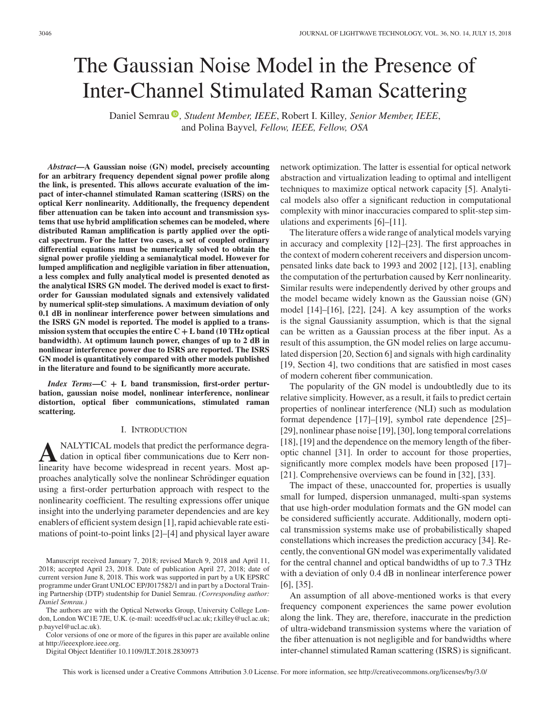# The Gaussian Noise Model in the Presence of Inter-Channel Stimulated Raman Scattering

Daniel Semrau<sup>®</sup>[,](https://orcid.org/0000-0001-7451-5902) Student Member, IEEE, Robert I. Killey, Senior Member, IEEE, and Polina Bayvel*, Fellow, IEEE, Fellow, OSA*

*Abstract***—A Gaussian noise (GN) model, precisely accounting for an arbitrary frequency dependent signal power profile along the link, is presented. This allows accurate evaluation of the impact of inter-channel stimulated Raman scattering (ISRS) on the optical Kerr nonlinearity. Additionally, the frequency dependent fiber attenuation can be taken into account and transmission systems that use hybrid amplification schemes can be modeled, where distributed Raman amplification is partly applied over the optical spectrum. For the latter two cases, a set of coupled ordinary differential equations must be numerically solved to obtain the signal power profile yielding a semianalytical model. However for lumped amplification and negligible variation in fiber attenuation, a less complex and fully analytical model is presented denoted as the analytical ISRS GN model. The derived model is exact to firstorder for Gaussian modulated signals and extensively validated by numerical split-step simulations. A maximum deviation of only 0.1 dB in nonlinear interference power between simulations and the ISRS GN model is reported. The model is applied to a transmission system that occupies the entire C + L band (10 THz optical bandwidth). At optimum launch power, changes of up to 2 dB in nonlinear interference power due to ISRS are reported. The ISRS GN model is quantitatively compared with other models published in the literature and found to be significantly more accurate.**

*Index Terms***—C + L band transmission, first-order perturbation, gaussian noise model, nonlinear interference, nonlinear distortion, optical fiber communications, stimulated raman scattering.**

## I. INTRODUCTION

**A**NALYTICAL models that predict the performance degradation in optical fiber communications due to Kerr nonlinearity have become widespread in recent years. Most approaches analytically solve the nonlinear Schrödinger equation using a first-order perturbation approach with respect to the nonlinearity coefficient. The resulting expressions offer unique insight into the underlying parameter dependencies and are key enablers of efficient system design [1], rapid achievable rate estimations of point-to-point links [2]–[4] and physical layer aware

The authors are with the Optical Networks Group, University College London, London WC1E 7JE, U.K. (e-mail: uceedfs@ucl.ac.uk; [r.killey@ucl.ac.uk;](mailto:r.killey@ucl.ac.uk) [p.bayvel@ucl.ac.uk\)](mailto:p.bayvel@ucl.ac.uk).

Digital Object Identifier 10.1109/JLT.2018.2830973

network optimization. The latter is essential for optical network abstraction and virtualization leading to optimal and intelligent techniques to maximize optical network capacity [5]. Analytical models also offer a significant reduction in computational complexity with minor inaccuracies compared to split-step simulations and experiments [6]–[11].

The literature offers a wide range of analytical models varying in accuracy and complexity [12]–[23]. The first approaches in the context of modern coherent receivers and dispersion uncompensated links date back to 1993 and 2002 [12], [13], enabling the computation of the perturbation caused by Kerr nonlinearity. Similar results were independently derived by other groups and the model became widely known as the Gaussian noise (GN) model [14]–[16], [22], [24]. A key assumption of the works is the signal Gaussianity assumption, which is that the signal can be written as a Gaussian process at the fiber input. As a result of this assumption, the GN model relies on large accumulated dispersion [20, Section 6] and signals with high cardinality [19, Section 4], two conditions that are satisfied in most cases of modern coherent fiber communication.

The popularity of the GN model is undoubtledly due to its relative simplicity. However, as a result, it fails to predict certain properties of nonlinear interference (NLI) such as modulation format dependence [17]–[19], symbol rate dependence [25]– [29], nonlinear phase noise [19], [30], long temporal correlations [18], [19] and the dependence on the memory length of the fiberoptic channel [31]. In order to account for those properties, significantly more complex models have been proposed [17]– [21]. Comprehensive overviews can be found in [32], [33].

The impact of these, unaccounted for, properties is usually small for lumped, dispersion unmanaged, multi-span systems that use high-order modulation formats and the GN model can be considered sufficiently accurate. Additionally, modern optical transmission systems make use of probabilistically shaped constellations which increases the prediction accuracy [34]. Recently, the conventional GN model was experimentally validated for the central channel and optical bandwidths of up to 7.3 THz with a deviation of only 0.4 dB in nonlinear interference power [6], [35].

An assumption of all above-mentioned works is that every frequency component experiences the same power evolution along the link. They are, therefore, inaccurate in the prediction of ultra-wideband transmission systems where the variation of the fiber attenuation is not negligible and for bandwidths where inter-channel stimulated Raman scattering (ISRS) is significant.

This work is licensed under a Creative Commons Attribution 3.0 License. For more information, see http://creativecommons.org/licenses/by/3.0/

Manuscript received January 7, 2018; revised March 9, 2018 and April 11, 2018; accepted April 23, 2018. Date of publication April 27, 2018; date of current version June 8, 2018. This work was supported in part by a UK EPSRC programme under Grant UNLOC EP/J017582/1 and in part by a Doctoral Training Partnership (DTP) studentship for Daniel Semrau. *(Corresponding author: Daniel Semrau.)*

Color versions of one or more of the figures in this paper are available online at http://ieeexplore.ieee.org.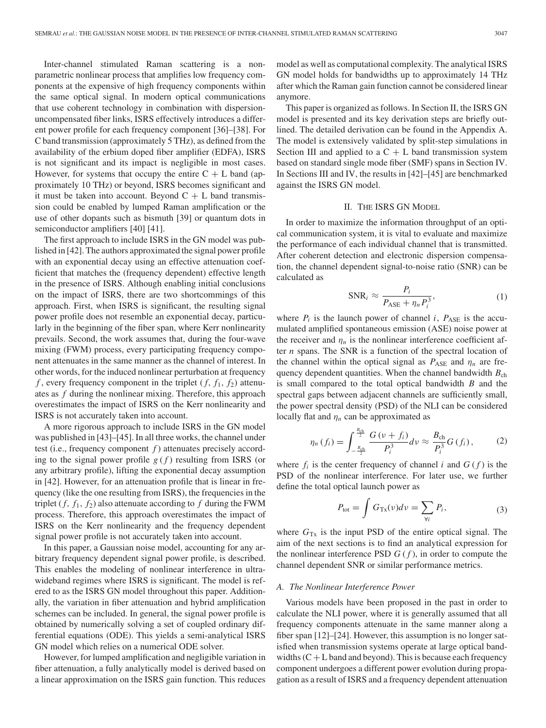Inter-channel stimulated Raman scattering is a nonparametric nonlinear process that amplifies low frequency components at the expensive of high frequency components within the same optical signal. In modern optical communications that use coherent technology in combination with dispersionuncompensated fiber links, ISRS effectively introduces a different power profile for each frequency component [36]–[38]. For C band transmission (approximately 5 THz), as defined from the availability of the erbium doped fiber amplifier (EDFA), ISRS is not significant and its impact is negligible in most cases. However, for systems that occupy the entire  $C + L$  band (approximately 10 THz) or beyond, ISRS becomes significant and it must be taken into account. Beyond  $C + L$  band transmission could be enabled by lumped Raman amplification or the use of other dopants such as bismuth [39] or quantum dots in semiconductor amplifiers [40] [41].

The first approach to include ISRS in the GN model was published in [42]. The authors approximated the signal power profile with an exponential decay using an effective attenuation coefficient that matches the (frequency dependent) effective length in the presence of ISRS. Although enabling initial conclusions on the impact of ISRS, there are two shortcommings of this approach. First, when ISRS is significant, the resulting signal power profile does not resemble an exponential decay, particularly in the beginning of the fiber span, where Kerr nonlinearity prevails. Second, the work assumes that, during the four-wave mixing (FWM) process, every participating frequency component attenuates in the same manner as the channel of interest. In other words, for the induced nonlinear perturbation at frequency  $f$ , every frequency component in the triplet  $(f, f_1, f_2)$  attenuates as *f* during the nonlinear mixing. Therefore, this approach overestimates the impact of ISRS on the Kerr nonlinearity and ISRS is not accurately taken into account.

A more rigorous approach to include ISRS in the GN model was published in [43]–[45]. In all three works, the channel under test (i.e., frequency component *f* ) attenuates precisely according to the signal power profile  $g(f)$  resulting from ISRS (or any arbitrary profile), lifting the exponential decay assumption in [42]. However, for an attenuation profile that is linear in frequency (like the one resulting from ISRS), the frequencies in the triplet  $(f, f_1, f_2)$  also attenuate according to  $f$  during the FWM process. Therefore, this approach overestimates the impact of ISRS on the Kerr nonlinearity and the frequency dependent signal power profile is not accurately taken into account.

In this paper, a Gaussian noise model, accounting for any arbitrary frequency dependent signal power profile, is described. This enables the modeling of nonlinear interference in ultrawideband regimes where ISRS is significant. The model is refered to as the ISRS GN model throughout this paper. Additionally, the variation in fiber attenuation and hybrid amplification schemes can be included. In general, the signal power profile is obtained by numerically solving a set of coupled ordinary differential equations (ODE). This yields a semi-analytical ISRS GN model which relies on a numerical ODE solver.

However, for lumped amplification and negligible variation in fiber attenuation, a fully analytically model is derived based on a linear approximation on the ISRS gain function. This reduces model as well as computational complexity. The analytical ISRS GN model holds for bandwidths up to approximately 14 THz after which the Raman gain function cannot be considered linear anymore.

This paper is organized as follows. In Section II, the ISRS GN model is presented and its key derivation steps are briefly outlined. The detailed derivation can be found in the Appendix A. The model is extensively validated by split-step simulations in Section III and applied to a  $C + L$  band transmission system based on standard single mode fiber (SMF) spans in Section IV. In Sections III and IV, the results in [42]–[45] are benchmarked against the ISRS GN model.

## II. THE ISRS GN MODEL

In order to maximize the information throughput of an optical communication system, it is vital to evaluate and maximize the performance of each individual channel that is transmitted. After coherent detection and electronic dispersion compensation, the channel dependent signal-to-noise ratio (SNR) can be calculated as

$$
\text{SNR}_i \approx \frac{P_i}{P_{\text{ASE}} + \eta_n P_i^3},\tag{1}
$$

where  $P_i$  is the launch power of channel *i*,  $P_{\text{ASE}}$  is the accumulated amplified spontaneous emission (ASE) noise power at the receiver and  $\eta_n$  is the nonlinear interference coefficient after *n* spans. The SNR is a function of the spectral location of the channel within the optical signal as  $P_{\text{ASE}}$  and  $\eta_n$  are frequency dependent quantities. When the channel bandwidth  $B_{ch}$ is small compared to the total optical bandwidth *B* and the spectral gaps between adjacent channels are sufficiently small, the power spectral density (PSD) of the NLI can be considered locally flat and  $\eta_n$  can be approximated as

$$
\eta_n(f_i) = \int_{-\frac{B_{\rm ch}}{2}}^{\frac{B_{\rm ch}}{2}} \frac{G(v+f_i)}{P_i^3} dv \approx \frac{B_{\rm ch}}{P_i^3} G(f_i), \qquad (2)
$$

where  $f_i$  is the center frequency of channel *i* and  $G(f)$  is the PSD of the nonlinear interference. For later use, we further define the total optical launch power as

$$
P_{\text{tot}} = \int G_{\text{Tx}}(\nu) d\nu = \sum_{\forall i} P_i,
$$
 (3)

where  $G_{Tx}$  is the input PSD of the entire optical signal. The aim of the next sections is to find an analytical expression for the nonlinear interference PSD  $G(f)$ , in order to compute the channel dependent SNR or similar performance metrics.

#### *A. The Nonlinear Interference Power*

Various models have been proposed in the past in order to calculate the NLI power, where it is generally assumed that all frequency components attenuate in the same manner along a fiber span [12]–[24]. However, this assumption is no longer satisfied when transmission systems operate at large optical bandwidths  $(C + L)$  band and beyond). This is because each frequency component undergoes a different power evolution during propagation as a result of ISRS and a frequency dependent attenuation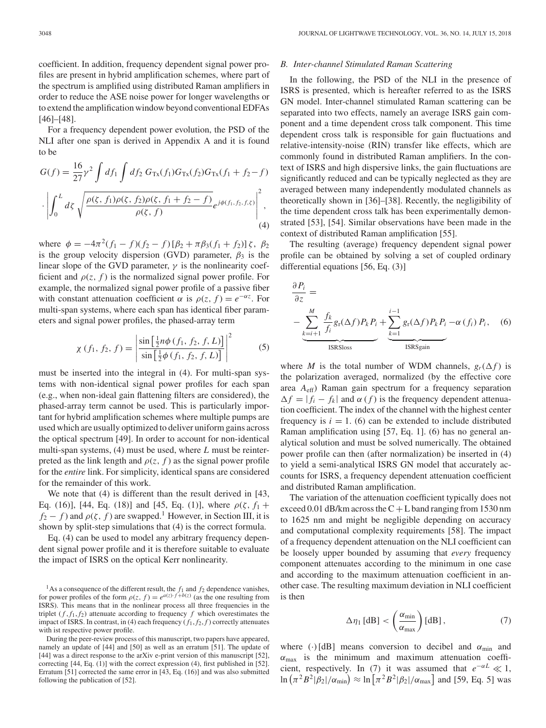coefficient. In addition, frequency dependent signal power profiles are present in hybrid amplification schemes, where part of the spectrum is amplified using distributed Raman amplifiers in order to reduce the ASE noise power for longer wavelengths or to extend the amplification window beyond conventional EDFAs [46]–[48].

For a frequency dependent power evolution, the PSD of the NLI after one span is derived in Appendix A and it is found to be

$$
G(f) = \frac{16}{27} \gamma^2 \int df_1 \int df_2 G_{Tx}(f_1) G_{Tx}(f_2) G_{Tx}(f_1 + f_2 - f)
$$

$$
\cdot \left| \int_0^L df_2 \sqrt{\frac{\rho(\zeta, f_1)\rho(\zeta, f_2)\rho(\zeta, f_1 + f_2 - f)}{\rho(\zeta, f)}} e^{j\phi(f_1, f_2, f_1, \zeta)} \right|^2,
$$
(4)

where  $\phi = -4\pi^2(f_1 - f)(f_2 - f)[\beta_2 + \pi\beta_3(f_1 + f_2)]\zeta$ ,  $\beta_2$ is the group velocity dispersion (GVD) parameter,  $\beta_3$  is the linear slope of the GVD parameter,  $\gamma$  is the nonlinearity coefficient and  $\rho(z, f)$  is the normalized signal power profile. For example, the normalized signal power profile of a passive fiber with constant attenuation coefficient  $\alpha$  is  $\rho(z, f) = e^{-\alpha z}$ . For multi-span systems, where each span has identical fiber parameters and signal power profiles, the phased-array term

$$
\chi(f_1, f_2, f) = \left| \frac{\sin \left[ \frac{1}{2} n \phi(f_1, f_2, f, L) \right]}{\sin \left[ \frac{1}{2} \phi(f_1, f_2, f, L) \right]} \right|^2 \tag{5}
$$

must be inserted into the integral in (4). For multi-span systems with non-identical signal power profiles for each span (e.g., when non-ideal gain flattening filters are considered), the phased-array term cannot be used. This is particularly important for hybrid amplification schemes where multiple pumps are used which are usually optimized to deliver uniform gains across the optical spectrum [49]. In order to account for non-identical multi-span systems, (4) must be used, where *L* must be reinterpreted as the link length and  $\rho(z, f)$  as the signal power profile for the *entire* link. For simplicity, identical spans are considered for the remainder of this work.

We note that  $(4)$  is different than the result derived in [43, Eq. (16)], [44, Eq. (18)] and [45, Eq. (1)], where  $\rho(\zeta, f_1 +$  $f_2 - f$ ) and  $\rho(\zeta, f)$  are swapped.<sup>1</sup> However, in Section III, it is shown by split-step simulations that (4) is the correct formula.

Eq. (4) can be used to model any arbitrary frequency dependent signal power profile and it is therefore suitable to evaluate the impact of ISRS on the optical Kerr nonlinearity.

### *B. Inter-channel Stimulated Raman Scattering*

In the following, the PSD of the NLI in the presence of ISRS is presented, which is hereafter referred to as the ISRS GN model. Inter-channel stimulated Raman scattering can be separated into two effects, namely an average ISRS gain component and a time dependent cross talk component. This time dependent cross talk is responsible for gain fluctuations and relative-intensity-noise (RIN) transfer like effects, which are commonly found in distributed Raman amplifiers. In the context of ISRS and high dispersive links, the gain fluctuations are significantly reduced and can be typically neglected as they are averaged between many independently modulated channels as theoretically shown in [36]–[38]. Recently, the negligibility of the time dependent cross talk has been experimentally demonstrated [53], [54]. Similar observations have been made in the context of distributed Raman amplification [55].

The resulting (average) frequency dependent signal power profile can be obtained by solving a set of coupled ordinary differential equations [56, Eq. (3)]

$$
\frac{\partial P_i}{\partial z} = \n-\sum_{\underbrace{k=i+1 \ f_i}^{M} g_f(\Delta f) P_k P_i + \underbrace{\sum_{k=1}^{i-1} g_f(\Delta f) P_k P_i - \alpha (f_i) P_i}_{\text{ISRSloss}}, \quad (6)
$$

where *M* is the total number of WDM channels,  $g_r(\Delta f)$  is the polarization averaged, normalized (by the effective core area *A*eff) Raman gain spectrum for a frequency separation  $\Delta f = |f_i - f_k|$  and  $\alpha(f)$  is the frequency dependent attenuation coefficient. The index of the channel with the highest center frequency is  $i = 1$ . (6) can be extended to include distributed Raman amplification using [57, Eq. 1]. (6) has no general analytical solution and must be solved numerically. The obtained power profile can then (after normalization) be inserted in (4) to yield a semi-analytical ISRS GN model that accurately accounts for ISRS, a frequency dependent attenuation coefficient and distributed Raman amplification.

The variation of the attenuation coefficient typically does not exceed 0.01 dB/km across the  $C + L$  band ranging from 1530 nm to 1625 nm and might be negligible depending on accuracy and computational complexity requirements [58]. The impact of a frequency dependent attenuation on the NLI coefficient can be loosely upper bounded by assuming that *every* frequency component attenuates according to the minimum in one case and according to the maximum attenuation coefficient in another case. The resulting maximum deviation in NLI coefficient is then

$$
\Delta \eta_1 \,[\text{dB}] < \left(\frac{\alpha_{\min}}{\alpha_{\max}}\right) [\text{dB}],\tag{7}
$$

where (·)[dB] means conversion to decibel and  $\alpha_{\min}$  and  $\alpha_{\text{max}}$  is the minimum and maximum attenuation coefficient, respectively. In (7) it was assumed that  $e^{-\alpha L} \ll 1$ , ln  $(\pi^2 B^2 | \beta_2| / \alpha_{\min}) \approx \ln [\pi^2 B^2 | \beta_2| / \alpha_{\max}]$  and [59, Eq. 5] was

<sup>&</sup>lt;sup>1</sup>As a consequence of the different result, the  $f_1$  and  $f_2$  dependence vanishes, for power profiles of the form  $\rho(z, f) = e^{a(z) \cdot f + b(z)}$  (as the one resulting from ISRS). This means that in the nonlinear process all three frequencies in the triplet  $(f, f_1, f_2)$  attenuate according to frequency f which overestimates the impact of ISRS. In contrast, in (4) each frequency  $(f_1, f_2, f)$  correctly attenuates with ist respective power profile.

During the peer-review process of this manuscript, two papers have appeared, namely an update of [44] and [50] as well as an erratum [51]. The update of [44] was a direct response to the arXiv e-print version of this manuscript [52], correcting [44, Eq. (1)] with the correct expression (4), first published in [52]. Erratum [51] corrected the same error in [43, Eq. (16)] and was also submitted following the publication of [52].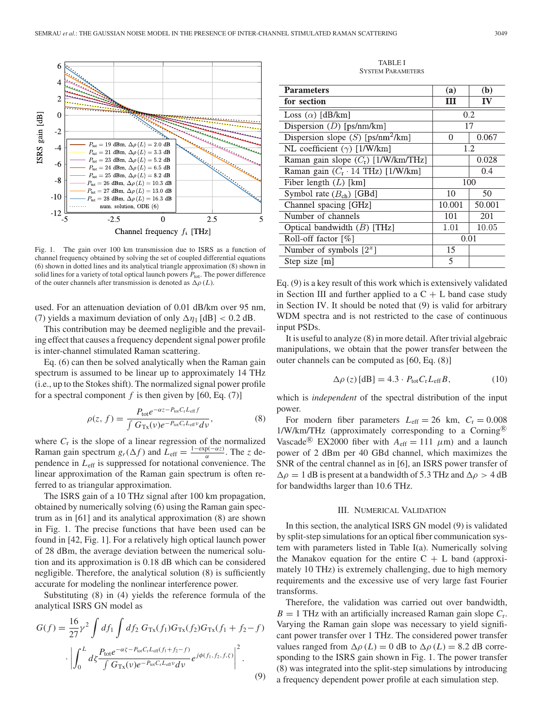

Fig. 1. The gain over 100 km transmission due to ISRS as a function of channel frequency obtained by solving the set of coupled differential equations (6) shown in dotted lines and its analytical triangle approximation (8) shown in solid lines for a variety of total optical launch powers  $P_{\text{tot}}$ . The power difference of the outer channels after transmission is denoted as  $\Delta \rho$  (*L*).

used. For an attenuation deviation of 0.01 dB/km over 95 nm, (7) yields a maximum deviation of only  $\Delta \eta_1$  [dB] < 0.2 dB.

This contribution may be deemed negligible and the prevailing effect that causes a frequency dependent signal power profile is inter-channel stimulated Raman scattering.

Eq. (6) can then be solved analytically when the Raman gain spectrum is assumed to be linear up to approximately 14 THz (i.e., up to the Stokes shift). The normalized signal power profile for a spectral component  $f$  is then given by [60, Eq. (7)]

$$
\rho(z, f) = \frac{P_{\text{tot}}e^{-\alpha z - P_{\text{tot}}C_{\text{r}}L_{\text{eff}}f}}{\int G_{\text{Tx}}(\nu)e^{-P_{\text{tot}}C_{\text{r}}L_{\text{eff}}\nu}d\nu},\tag{8}
$$

where  $C_r$  is the slope of a linear regression of the normalized Raman gain spectrum  $g_r(\Delta f)$  and  $\overline{L}_{\text{eff}} = \frac{1-\exp(-\alpha z)}{\alpha}$ . The *z* dependence in *L*eff is suppressed for notational convenience. The linear approximation of the Raman gain spectrum is often referred to as triangular approximation.

The ISRS gain of a 10 THz signal after 100 km propagation, obtained by numerically solving (6) using the Raman gain spectrum as in [61] and its analytical approximation (8) are shown in Fig. 1. The precise functions that have been used can be found in [42, Fig. 1]. For a relatively high optical launch power of 28 dBm, the average deviation between the numerical solution and its approximation is 0.18 dB which can be considered negligible. Therefore, the analytical solution (8) is sufficiently accurate for modeling the nonlinear interference power.

Substituting (8) in (4) yields the reference formula of the analytical ISRS GN model as

$$
G(f) = \frac{16}{27} \gamma^2 \int df_1 \int df_2 G_{\text{Tx}}(f_1) G_{\text{Tx}}(f_2) G_{\text{Tx}}(f_1 + f_2 - f)
$$

$$
\cdot \left| \int_0^L d\zeta \frac{P_{\text{tot}} e^{-\alpha \zeta - P_{\text{tot}} C_t L_{\text{eff}}(f_1 + f_2 - f)}}{\int G_{\text{Tx}}(\nu) e^{-P_{\text{tot}} C_t L_{\text{eff}} \nu} d\nu} e^{j\phi(f_1, f_2, f, \zeta)} \right|^2.
$$
(9)

TABLE I SYSTEM PARAMETERS

| <b>Parameters</b>                                | (a)    | (b)    |
|--------------------------------------------------|--------|--------|
| for section                                      | Ш      | IV     |
| Loss $(\alpha)$ [dB/km]                          | 0.2    |        |
| Dispersion $(D)$ [ps/nm/km]                      | 17     |        |
| Dispersion slope $(S)$ [ps/nm <sup>2</sup> /km]  | 0      | 0.067  |
| NL coefficient $(\gamma)$ [1/W/km]               | 1.2    |        |
| Raman gain slope $(C_r)$ [1/W/km/THz]            |        | 0.028  |
| Raman gain $(C_r \cdot 14 \text{ THz})$ [1/W/km] |        | 0.4    |
| Fiber length $(L)$ [km]                          | 100    |        |
| Symbol rate $(Bch)$ [GBd]                        | 10     | 50     |
| Channel spacing [GHz]                            | 10.001 | 50.001 |
| Number of channels                               | 101    | 201    |
| Optical bandwidth $(B)$ [THz]                    | 1.01   | 10.05  |
| Roll-off factor [%]                              | 0.01   |        |
| Number of symbols $[2^x]$                        | 15     |        |
| Step size $[m]$                                  | 5      |        |

Eq. (9) is a key result of this work which is extensively validated in Section III and further applied to a  $C + L$  band case study in Section IV. It should be noted that (9) is valid for arbitrary WDM spectra and is not restricted to the case of continuous input PSDs.

It is useful to analyze (8) in more detail. After trivial algebraic manipulations, we obtain that the power transfer between the outer channels can be computed as [60, Eq. (8)]

$$
\Delta \rho (z) [\text{dB}] = 4.3 \cdot P_{\text{tot}} C_{\text{r}} L_{\text{eff}} B, \qquad (10)
$$

which is *independent* of the spectral distribution of the input power.

For modern fiber parameters  $L_{\text{eff}} = 26$  km,  $C_{\text{r}} = 0.008$  $1/W/km/THz$  (approximately corresponding to a Corning® Vascade<sup>®</sup> EX2000 fiber with  $A_{\text{eff}} = 111 \mu \text{m}$ ) and a launch power of 2 dBm per 40 GBd channel, which maximizes the SNR of the central channel as in [6], an ISRS power transfer of  $\Delta \rho = 1$  dB is present at a bandwidth of 5.3 THz and  $\Delta \rho > 4$  dB for bandwidths larger than 10.6 THz.

## III. NUMERICAL VALIDATION

In this section, the analytical ISRS GN model (9) is validated by split-step simulations for an optical fiber communication system with parameters listed in Table I(a). Numerically solving the Manakov equation for the entire  $C + L$  band (approximately 10 THz) is extremely challenging, due to high memory requirements and the excessive use of very large fast Fourier transforms.

Therefore, the validation was carried out over bandwidth,  $B = 1$  THz with an artificially increased Raman gain slope  $C_r$ . Varying the Raman gain slope was necessary to yield significant power transfer over 1 THz. The considered power transfer values ranged from  $\Delta \rho$  (*L*) = 0 dB to  $\Delta \rho$  (*L*) = 8.2 dB corresponding to the ISRS gain shown in Fig. 1. The power transfer (8) was integrated into the split-step simulations by introducing a frequency dependent power profile at each simulation step.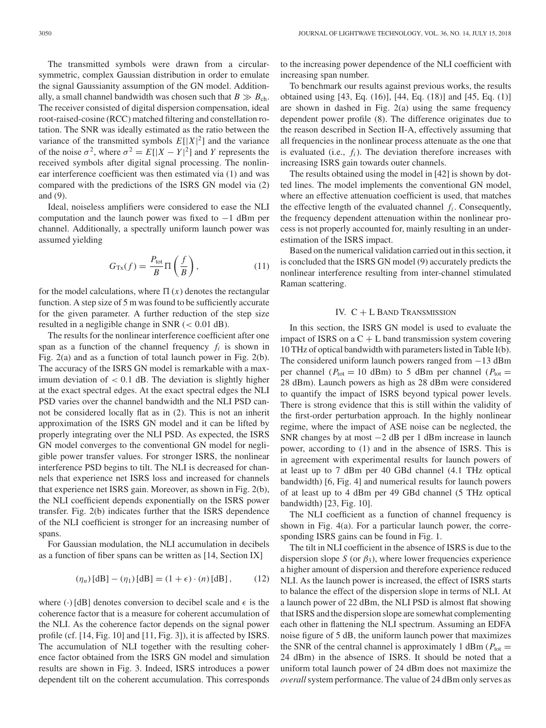The transmitted symbols were drawn from a circularsymmetric, complex Gaussian distribution in order to emulate the signal Gaussianity assumption of the GN model. Additionally, a small channel bandwidth was chosen such that  $B \gg B_{ch}$ . The receiver consisted of digital dispersion compensation, ideal root-raised-cosine (RCC) matched filtering and constellation rotation. The SNR was ideally estimated as the ratio between the variance of the transmitted symbols  $E[|X|^2]$  and the variance of the noise  $\sigma^2$ , where  $\sigma^2 = E[|X - Y|^2]$  and *Y* represents the received symbols after digital signal processing. The nonlinear interference coefficient was then estimated via (1) and was compared with the predictions of the ISRS GN model via (2) and (9).

Ideal, noiseless amplifiers were considered to ease the NLI computation and the launch power was fixed to −1 dBm per channel. Additionally, a spectrally uniform launch power was assumed yielding

$$
G_{\text{Tx}}(f) = \frac{P_{\text{tot}}}{B} \Pi \left( \frac{f}{B} \right),\tag{11}
$$

for the model calculations, where  $\Pi(x)$  denotes the rectangular function. A step size of 5 m was found to be sufficiently accurate for the given parameter. A further reduction of the step size resulted in a negligible change in SNR  $(< 0.01$  dB).

The results for the nonlinear interference coefficient after one span as a function of the channel frequency  $f_i$  is shown in Fig. 2(a) and as a function of total launch power in Fig. 2(b). The accuracy of the ISRS GN model is remarkable with a maximum deviation of  $< 0.1$  dB. The deviation is slightly higher at the exact spectral edges. At the exact spectral edges the NLI PSD varies over the channel bandwidth and the NLI PSD cannot be considered locally flat as in (2). This is not an inherit approximation of the ISRS GN model and it can be lifted by properly integrating over the NLI PSD. As expected, the ISRS GN model converges to the conventional GN model for negligible power transfer values. For stronger ISRS, the nonlinear interference PSD begins to tilt. The NLI is decreased for channels that experience net ISRS loss and increased for channels that experience net ISRS gain. Moreover, as shown in Fig. 2(b), the NLI coefficient depends exponentially on the ISRS power transfer. Fig. 2(b) indicates further that the ISRS dependence of the NLI coefficient is stronger for an increasing number of spans.

For Gaussian modulation, the NLI accumulation in decibels as a function of fiber spans can be written as [14, Section IX]

$$
(\eta_n)[dB] - (\eta_1)[dB] = (1 + \epsilon) \cdot (n)[dB], \qquad (12)
$$

where (·) [dB] denotes conversion to decibel scale and  $\epsilon$  is the coherence factor that is a measure for coherent accumulation of the NLI. As the coherence factor depends on the signal power profile (cf. [14, Fig. 10] and [11, Fig. 3]), it is affected by ISRS. The accumulation of NLI together with the resulting coherence factor obtained from the ISRS GN model and simulation results are shown in Fig. 3. Indeed, ISRS introduces a power dependent tilt on the coherent accumulation. This corresponds

to the increasing power dependence of the NLI coefficient with increasing span number.

To benchmark our results against previous works, the results obtained using [43, Eq. (16)], [44, Eq. (18)] and [45, Eq. (1)] are shown in dashed in Fig. 2(a) using the same frequency dependent power profile (8). The difference originates due to the reason described in Section II-A, effectively assuming that all frequencies in the nonlinear process attenuate as the one that is evaluated (i.e.,  $f_i$ ). The deviation therefore increases with increasing ISRS gain towards outer channels.

The results obtained using the model in [42] is shown by dotted lines. The model implements the conventional GN model, where an effective attenuation coefficient is used, that matches the effective length of the evaluated channel  $f_i$ . Consequently, the frequency dependent attenuation within the nonlinear process is not properly accounted for, mainly resulting in an underestimation of the ISRS impact.

Based on the numerical validation carried out in this section, it is concluded that the ISRS GN model (9) accurately predicts the nonlinear interference resulting from inter-channel stimulated Raman scattering.

## IV.  $C + L$  BAND TRANSMISSION

In this section, the ISRS GN model is used to evaluate the impact of ISRS on a  $C + L$  band transmission system covering 10 THz of optical bandwidth with parameters listed in Table I(b). The considered uniform launch powers ranged from −13 dBm per channel ( $P_{\text{tot}} = 10$  dBm) to 5 dBm per channel ( $P_{\text{tot}} =$ 28 dBm). Launch powers as high as 28 dBm were considered to quantify the impact of ISRS beyond typical power levels. There is strong evidence that this is still within the validity of the first-order perturbation approach. In the highly nonlinear regime, where the impact of ASE noise can be neglected, the SNR changes by at most  $-2$  dB per 1 dBm increase in launch power, according to (1) and in the absence of ISRS. This is in agreement with experimental results for launch powers of at least up to 7 dBm per 40 GBd channel (4.1 THz optical bandwidth) [6, Fig. 4] and numerical results for launch powers of at least up to 4 dBm per 49 GBd channel (5 THz optical bandwidth) [23, Fig. 10].

The NLI coefficient as a function of channel frequency is shown in Fig. 4(a). For a particular launch power, the corresponding ISRS gains can be found in Fig. 1.

The tilt in NLI coefficient in the absence of ISRS is due to the dispersion slope *S* (or  $\beta_3$ ), where lower frequencies experience a higher amount of dispersion and therefore experience reduced NLI. As the launch power is increased, the effect of ISRS starts to balance the effect of the dispersion slope in terms of NLI. At a launch power of 22 dBm, the NLI PSD is almost flat showing that ISRS and the dispersion slope are somewhat complementing each other in flattening the NLI spectrum. Assuming an EDFA noise figure of 5 dB, the uniform launch power that maximizes the SNR of the central channel is approximately 1 dBm ( $P_{\text{tot}} =$ 24 dBm) in the absence of ISRS. It should be noted that a uniform total launch power of 24 dBm does not maximize the *overall* system performance. The value of 24 dBm only serves as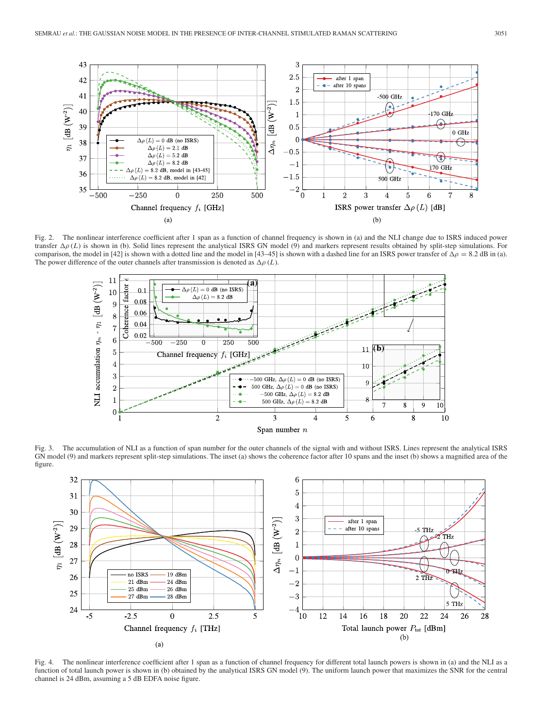

Fig. 2. The nonlinear interference coefficient after 1 span as a function of channel frequency is shown in (a) and the NLI change due to ISRS induced power transfer  $\Delta \rho(L)$  is shown in (b). Solid lines represent the analytical ISRS GN model (9) and markers represent results obtained by split-step simulations. For comparison, the model in [42] is shown with a dotted line and the model in [43–45] is shown with a dashed line for an ISRS power transfer of  $\Delta \rho = 8.2$  dB in (a). The power difference of the outer channels after transmission is denoted as  $\Delta \rho$  (*L*).



Fig. 3. The accumulation of NLI as a function of span number for the outer channels of the signal with and without ISRS. Lines represent the analytical ISRS GN model (9) and markers represent split-step simulations. The inset (a) shows the coherence factor after 10 spans and the inset (b) shows a magnified area of the figure.



Fig. 4. The nonlinear interference coefficient after 1 span as a function of channel frequency for different total launch powers is shown in (a) and the NLI as a function of total launch power is shown in (b) obtained by the analytical ISRS GN model (9). The uniform launch power that maximizes the SNR for the central channel is 24 dBm, assuming a 5 dB EDFA noise figure.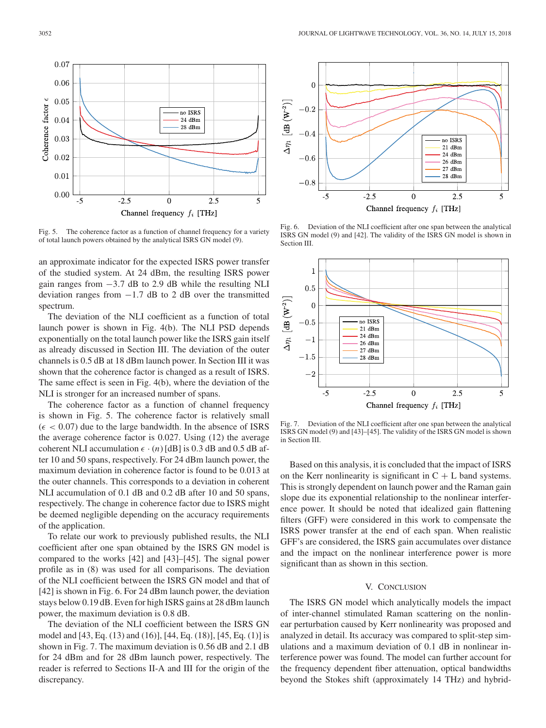

Fig. 5. The coherence factor as a function of channel frequency for a variety of total launch powers obtained by the analytical ISRS GN model (9).

an approximate indicator for the expected ISRS power transfer of the studied system. At 24 dBm, the resulting ISRS power gain ranges from −3.7 dB to 2.9 dB while the resulting NLI deviation ranges from  $-1.7$  dB to 2 dB over the transmitted spectrum.

The deviation of the NLI coefficient as a function of total launch power is shown in Fig. 4(b). The NLI PSD depends exponentially on the total launch power like the ISRS gain itself as already discussed in Section III. The deviation of the outer channels is 0.5 dB at 18 dBm launch power. In Section III it was shown that the coherence factor is changed as a result of ISRS. The same effect is seen in Fig. 4(b), where the deviation of the NLI is stronger for an increased number of spans.

The coherence factor as a function of channel frequency is shown in Fig. 5. The coherence factor is relatively small  $(\epsilon < 0.07)$  due to the large bandwidth. In the absence of ISRS the average coherence factor is 0.027. Using (12) the average coherent NLI accumulation  $\epsilon \cdot (n)$  [dB] is 0.3 dB and 0.5 dB after 10 and 50 spans, respectively. For 24 dBm launch power, the maximum deviation in coherence factor is found to be 0.013 at the outer channels. This corresponds to a deviation in coherent NLI accumulation of 0.1 dB and 0.2 dB after 10 and 50 spans, respectively. The change in coherence factor due to ISRS might be deemed negligible depending on the accuracy requirements of the application.

To relate our work to previously published results, the NLI coefficient after one span obtained by the ISRS GN model is compared to the works [42] and [43]–[45]. The signal power profile as in (8) was used for all comparisons. The deviation of the NLI coefficient between the ISRS GN model and that of [42] is shown in Fig. 6. For 24 dBm launch power, the deviation stays below 0.19 dB. Even for high ISRS gains at 28 dBm launch power, the maximum deviation is 0.8 dB.

The deviation of the NLI coefficient between the ISRS GN model and [43, Eq. (13) and (16)], [44, Eq. (18)], [45, Eq. (1)] is shown in Fig. 7. The maximum deviation is 0.56 dB and 2.1 dB for 24 dBm and for 28 dBm launch power, respectively. The reader is referred to Sections II-A and III for the origin of the discrepancy.



Fig. 6. Deviation of the NLI coefficient after one span between the analytical ISRS GN model (9) and [42]. The validity of the ISRS GN model is shown in Section III.



Fig. 7. Deviation of the NLI coefficient after one span between the analytical ISRS GN model (9) and [43]–[45]. The validity of the ISRS GN model is shown in Section III.

Based on this analysis, it is concluded that the impact of ISRS on the Kerr nonlinearity is significant in  $C + L$  band systems. This is strongly dependent on launch power and the Raman gain slope due its exponential relationship to the nonlinear interference power. It should be noted that idealized gain flattening filters (GFF) were considered in this work to compensate the ISRS power transfer at the end of each span. When realistic GFF's are considered, the ISRS gain accumulates over distance and the impact on the nonlinear interference power is more significant than as shown in this section.

## V. CONCLUSION

The ISRS GN model which analytically models the impact of inter-channel stimulated Raman scattering on the nonlinear perturbation caused by Kerr nonlinearity was proposed and analyzed in detail. Its accuracy was compared to split-step simulations and a maximum deviation of 0.1 dB in nonlinear interference power was found. The model can further account for the frequency dependent fiber attenuation, optical bandwidths beyond the Stokes shift (approximately 14 THz) and hybrid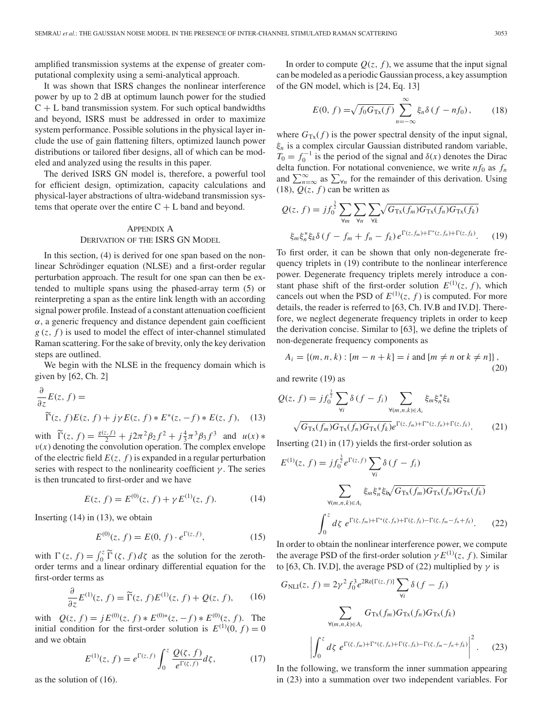amplified transmission systems at the expense of greater computational complexity using a semi-analytical approach.

It was shown that ISRS changes the nonlinear interference power by up to 2 dB at optimum launch power for the studied  $C + L$  band transmission system. For such optical bandwidths and beyond, ISRS must be addressed in order to maximize system performance. Possible solutions in the physical layer include the use of gain flattening filters, optimized launch power distributions or tailored fiber designs, all of which can be modeled and analyzed using the results in this paper.

The derived ISRS GN model is, therefore, a powerful tool for efficient design, optimization, capacity calculations and physical-layer abstractions of ultra-wideband transmission systems that operate over the entire  $C + L$  band and beyond.

# APPENDIX A DERIVATION OF THE ISRS GN MODEL

In this section, (4) is derived for one span based on the nonlinear Schrödinger equation (NLSE) and a first-order regular perturbation approach. The result for one span can then be extended to multiple spans using the phased-array term (5) or reinterpreting a span as the entire link length with an according signal power profile. Instead of a constant attenuation coefficient  $\alpha$ , a generic frequency and distance dependent gain coefficient  $g(z, f)$  is used to model the effect of inter-channel stimulated Raman scattering. For the sake of brevity, only the key derivation steps are outlined.

We begin with the NLSE in the frequency domain which is given by [62, Ch. 2]

$$
\frac{\partial}{\partial z}E(z, f) = \widetilde{\Gamma}(z, f)E(z, f) + j\gamma E(z, f) * E^*(z, -f) * E(z, f), \quad (13)
$$

with  $\widetilde{\Gamma}(z, f) = \frac{g(z, f)}{2} + j2\pi^2 \beta_2 f^2 + j\frac{4}{3}\pi^3 \beta_3 f^3$  and  $u(x) *$  $v(x)$  denoting the convolution operation. The complex envelope of the electric field  $E(z, f)$  is expanded in a regular perturbation series with respect to the nonlinearity coefficient  $\gamma$ . The series is then truncated to first-order and we have

$$
E(z, f) = E^{(0)}(z, f) + \gamma E^{(1)}(z, f). \tag{14}
$$

Inserting  $(14)$  in  $(13)$ , we obtain

$$
E^{(0)}(z, f) = E(0, f) \cdot e^{\Gamma(z, f)}, \tag{15}
$$

with  $\Gamma(z, f) = \int_0^z \widetilde{\Gamma}(z, f) dz$  as the solution for the zerothorder terms and a linear ordinary differential equation for the first-order terms as

$$
\frac{\partial}{\partial z}E^{(1)}(z, f) = \widetilde{\Gamma}(z, f)E^{(1)}(z, f) + Q(z, f), \qquad (16)
$$

with  $Q(z, f) = jE^{(0)}(z, f) * E^{(0)*}(z, -f) * E^{(0)}(z, f)$ . The initial condition for the first-order solution is  $E^{(1)}(0, f) = 0$ and we obtain

$$
E^{(1)}(z, f) = e^{\Gamma(z, f)} \int_0^z \frac{Q(\zeta, f)}{e^{\Gamma(\zeta, f)}} d\zeta,
$$
 (17)

as the solution of (16).

In order to compute  $Q(z, f)$ , we assume that the input signal can be modeled as a periodic Gaussian process, a key assumption of the GN model, which is [24, Eq. 13]

$$
E(0, f) = \sqrt{f_0 G_{\text{Tx}}(f)} \sum_{n = -\infty}^{\infty} \xi_n \delta(f - nf_0), \qquad (18)
$$

where  $G_{\text{Tx}}(f)$  is the power spectral density of the input signal, ξ*<sup>n</sup>* is a complex circular Gaussian distributed random variable,  $T_0 = f_0^{-1}$  is the period of the signal and  $\delta(x)$  denotes the Dirac delta function. For notational convenience, we write  $nf_0$  as  $f_n$ and  $\sum_{n=\infty}^{\infty}$  as  $\sum_{\forall n}$  for the remainder of this derivation. Using (18),  $Q(z, f)$  can be written as

$$
Q(z, f) = jf_0^{\frac{3}{2}} \sum_{\forall m} \sum_{\forall h} \sum_{\forall k} \sqrt{G_{\text{Tx}}(f_m)G_{\text{Tx}}(f_h)G_{\text{Tx}}(f_k)}
$$

$$
\xi_m \xi_n^* \xi_k \delta(f - f_m + f_n - f_k) e^{\Gamma(z, f_m) + \Gamma^*(z, f_n) + \Gamma(z, f_k)}.
$$
(19)

To first order, it can be shown that only non-degenerate frequency triplets in (19) contribute to the nonlinear interference power. Degenerate frequency triplets merely introduce a constant phase shift of the first-order solution  $E^{(1)}(z, f)$ , which cancels out when the PSD of  $E^{(1)}(z, f)$  is computed. For more details, the reader is referred to [63, Ch. IV.B and IV.D]. Therefore, we neglect degenerate frequency triplets in order to keep the derivation concise. Similar to [63], we define the triplets of non-degenerate frequency components as

$$
A_i = \{(m, n, k) : [m - n + k] = i \text{ and } [m \neq n \text{ or } k \neq n] \},\tag{20}
$$

and rewrite (19) as

$$
Q(z, f) = jf_0^{\frac{3}{2}} \sum_{\forall i} \delta(f - f_i) \sum_{\forall (m,n,k)\in A_i} \xi_m \xi_n^* \xi_k
$$
  

$$
\sqrt{G_{\text{Tx}}(f_m)G_{\text{Tx}}(f_n)G_{\text{Tx}}(f_k)} e^{\Gamma(z, f_m) + \Gamma^*(z, f_n) + \Gamma(z, f_k)}.
$$
 (21)

Inserting (21) in (17) yields the first-order solution as

$$
E^{(1)}(z, f) = j f_0^{\frac{3}{2}} e^{\Gamma(z, f)} \sum_{\forall i} \delta(f - f_i)
$$

$$
\sum_{\forall (m, n, k) \in A_i} \xi_m \xi_n^* \xi_N \sqrt{G_{\text{Tx}}(f_m) G_{\text{Tx}}(f_n) G_{\text{Tx}}(f_k)}
$$

$$
\int_0^z d\zeta \ e^{\Gamma(\zeta, f_m) + \Gamma^*(\zeta, f_n) + \Gamma(\zeta, f_k) - \Gamma(\zeta, f_m - f_n + f_k)}.
$$
(22)

In order to obtain the nonlinear interference power, we compute the average PSD of the first-order solution  $\gamma E^{(1)}(z, f)$ . Similar to [63, Ch. IV.D], the average PSD of (22) multiplied by  $\gamma$  is

$$
G_{\text{NLI}}(z, f) = 2\gamma^2 f_0^3 e^{2\text{Re}[\Gamma(z, f)]} \sum_{\forall i} \delta(f - f_i)
$$

$$
\sum_{\forall (m, n, k) \in A_i} G_{\text{Tx}}(f_m) G_{\text{Tx}}(f_n) G_{\text{Tx}}(f_k)
$$

$$
\left| \int_0^z d\zeta \ e^{\Gamma(\zeta, f_m) + \Gamma^*(\zeta, f_n) + \Gamma(\zeta, f_k) - \Gamma(\zeta, f_m - f_n + f_k)} \right|^2. \tag{23}
$$

In the following, we transform the inner summation appearing in (23) into a summation over two independent variables. For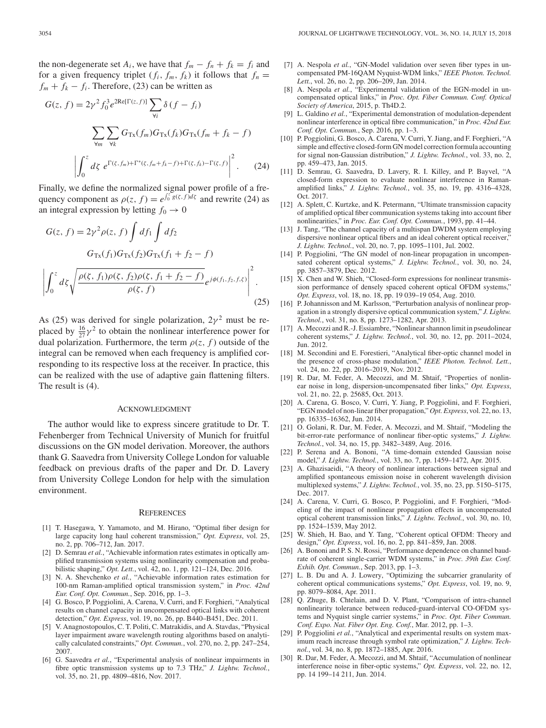the non-degenerate set  $A_i$ , we have that  $f_m - f_n + f_k = f_i$  and for a given frequency triplet  $(f_i, f_m, f_k)$  it follows that  $f_n =$  $f_m + f_k - f_i$ . Therefore, (23) can be written as

$$
G(z, f) = 2\gamma^2 f_0^3 e^{2\text{Re}[\Gamma(z, f)]} \sum_{\forall i} \delta(f - f_i)
$$

$$
\sum_{\forall m} \sum_{\forall k} G_{\text{Tx}}(f_m) G_{\text{Tx}}(f_k) G_{\text{Tx}}(f_m + f_k - f)
$$

$$
\left| \int_0^z d\zeta \ e^{\Gamma(\zeta, f_m) + \Gamma^*(\zeta, f_m + f_k - f) + \Gamma(\zeta, f_k) - \Gamma(\zeta, f)} \right|^2. \tag{24}
$$

Finally, we define the normalized signal power profile of a frequency component as  $\rho(z, f) = e^{\int_0^z g(\zeta, f) d\zeta}$  and rewrite (24) as an integral expression by letting  $f_0 \to 0$ 

$$
G(z, f) = 2\gamma^{2} \rho(z, f) \int df_{1} \int df_{2}
$$
  
\n
$$
G_{Tx}(f_{1})G_{Tx}(f_{2})G_{Tx}(f_{1} + f_{2} - f)
$$
  
\n
$$
\left| \int_{0}^{z} d\zeta \sqrt{\frac{\rho(\zeta, f_{1})\rho(\zeta, f_{2})\rho(\zeta, f_{1} + f_{2} - f)}{\rho(\zeta, f)}} e^{j\phi(f_{1}, f_{2}, f, \zeta)} \right|^{2}.
$$
\n(25)

As (25) was derived for single polarization,  $2\gamma^2$  must be replaced by  $\frac{16}{27}\gamma^2$  to obtain the nonlinear interference power for dual polarization. Furthermore, the term  $\rho(z, f)$  outside of the integral can be removed when each frequency is amplified corresponding to its respective loss at the receiver. In practice, this can be realized with the use of adaptive gain flattening filters. The result is (4).

#### ACKNOWLEDGMENT

The author would like to express sincere gratitude to Dr. T. Fehenberger from Technical University of Munich for fruitful discussions on the GN model derivation. Moreover, the authors thank G. Saavedra from University College London for valuable feedback on previous drafts of the paper and Dr. D. Lavery from University College London for help with the simulation environment.

#### **REFERENCES**

- [1] T. Hasegawa, Y. Yamamoto, and M. Hirano, "Optimal fiber design for large capacity long haul coherent transmission," *Opt. Express*, vol. 25, no. 2, pp. 706–712, Jan. 2017.
- D. Semrau *et al.*, "Achievable information rates estimates in optically amplified transmission systems using nonlinearity compensation and probabilistic shaping," *Opt. Lett.*, vol. 42, no. 1, pp. 121–124, Dec. 2016.
- [3] N. A. Shevchenko *et al.*, "Achievable information rates estimation for 100-nm Raman-amplified optical transmission system," in *Proc. 42nd Eur. Conf. Opt. Commun.*, Sep. 2016, pp. 1–3.
- [4] G. Bosco, P. Poggiolini, A. Carena, V. Curri, and F. Forghieri, "Analytical results on channel capacity in uncompensated optical links with coherent detection," *Opt. Express*, vol. 19, no. 26, pp. B440–B451, Dec. 2011.
- [5] V. Anagnostopoulos, C. T. Politi, C. Matrakidis, and A. Stavdas, "Physical layer impairment aware wavelength routing algorithms based on analytically calculated constraints," *Opt. Commun.*, vol. 270, no. 2, pp. 247–254, 2007.
- [6] G. Saavedra *et al.*, "Experimental analysis of nonlinear impairments in fibre optic transmission systems up to 7.3 THz," *J. Lightw. Technol.*, vol. 35, no. 21, pp. 4809–4816, Nov. 2017.
- [7] A. Nespola et al., "GN-Model validation over seven fiber types in uncompensated PM-16QAM Nyquist-WDM links," *IEEE Photon. Technol. Lett.*, vol. 26, no. 2, pp. 206–209, Jan. 2014.
- [8] A. Nespola *et al.*, "Experimental validation of the EGN-model in uncompensated optical links," in *Proc. Opt. Fiber Commun. Conf. Optical Society of America*, 2015, p. Th4D.2.
- [9] L. Galdino *et al.*, "Experimental demonstration of modulation-dependent nonlinear interference in optical fibre communication," in *Proc. 42nd Eur. Conf. Opt. Commun.*, Sep. 2016, pp. 1–3.
- [10] P. Poggiolini, G. Bosco, A. Carena, V. Curri, Y. Jiang, and F. Forghieri, "A simple and effective closed-form GN model correction formula accounting for signal non-Gaussian distribution," *J. Lightw. Technol.*, vol. 33, no. 2, pp. 459–473, Jan. 2015.
- [11] D. Semrau, G. Saavedra, D. Lavery, R. I. Killey, and P. Bayvel, "A closed-form expression to evaluate nonlinear interference in Ramanamplified links," *J. Lightw. Technol.*, vol. 35, no. 19, pp. 4316–4328, Oct. 2017.
- [12] A. Splett, C. Kurtzke, and K. Petermann, "Ultimate transmission capacity of amplified optical fiber communication systems taking into account fiber nonlinearities," in *Proc. Eur. Conf. Opt. Commun.*, 1993, pp. 41–44.
- [13] J. Tang, "The channel capacity of a multispan DWDM system employing dispersive nonlinear optical fibers and an ideal coherent optical receiver,' *J. Lightw. Technol.*, vol. 20, no. 7, pp. 1095–1101, Jul. 2002.
- [14] P. Poggiolini, "The GN model of non-linear propagation in uncompensated coherent optical systems," *J. Lightw. Technol.*, vol. 30, no. 24, pp. 3857–3879, Dec. 2012.
- [15] X. Chen and W. Shieh, "Closed-form expressions for nonlinear transmission performance of densely spaced coherent optical OFDM systems," *Opt. Express*, vol. 18, no. 18, pp. 19 039–19 054, Aug. 2010.
- [16] P. Johannisson and M. Karlsson, "Perturbation analysis of nonlinear propagation in a strongly dispersive optical communication system," *J. Lightw. Technol.*, vol. 31, no. 8, pp. 1273–1282, Apr. 2013.
- [17] A. Mecozzi and R.-J. Essiambre, "Nonlinear shannon limit in pseudolinear coherent systems," *J. Lightw. Technol.*, vol. 30, no. 12, pp. 2011–2024, Jun. 2012.
- [18] M. Secondini and E. Forestieri, "Analytical fiber-optic channel model in the presence of cross-phase modulation," *IEEE Photon. Technol. Lett.*, vol. 24, no. 22, pp. 2016–2019, Nov. 2012.
- [19] R. Dar, M. Feder, A. Mecozzi, and M. Shtaif, "Properties of nonlinear noise in long, dispersion-uncompensated fiber links," *Opt. Express*, vol. 21, no. 22, p. 25685, Oct. 2013.
- [20] A. Carena, G. Bosco, V. Curri, Y. Jiang, P. Poggiolini, and F. Forghieri, "EGN model of non-linear fiber propagation," *Opt. Express*, vol. 22, no. 13, pp. 16335–16362, Jun. 2014.
- [21] O. Golani, R. Dar, M. Feder, A. Mecozzi, and M. Shtaif, "Modeling the bit-error-rate performance of nonlinear fiber-optic systems," *J. Lightw. Technol.*, vol. 34, no. 15, pp. 3482–3489, Aug. 2016.
- [22] P. Serena and A. Bononi, "A time-domain extended Gaussian noise model," *J. Lightw. Technol.*, vol. 33, no. 7, pp. 1459–1472, Apr. 2015.
- [23] A. Ghazisaeidi, "A theory of nonlinear interactions between signal and amplified spontaneous emission noise in coherent wavelength division multiplexed systems," *J. Lightw. Technol.*, vol. 35, no. 23, pp. 5150–5175, Dec. 2017.
- [24] A. Carena, V. Curri, G. Bosco, P. Poggiolini, and F. Forghieri, "Modeling of the impact of nonlinear propagation effects in uncompensated optical coherent transmission links," *J. Lightw. Technol.*, vol. 30, no. 10, pp. 1524–1539, May 2012.
- [25] W. Shieh, H. Bao, and Y. Tang, "Coherent optical OFDM: Theory and design," *Opt. Express*, vol. 16, no. 2, pp. 841–859, Jan. 2008.
- [26] A. Bononi and P. S. N. Rossi, "Performance dependence on channel baudrate of coherent single-carrier WDM systems," in *Proc. 39th Eur. Conf. Exhib. Opt. Commun.*, Sep. 2013, pp. 1–3.
- [27] L. B. Du and A. J. Lowery, "Optimizing the subcarrier granularity of coherent optical communications systems," *Opt. Express*, vol. 19, no. 9, pp. 8079–8084, Apr. 2011.
- [28] Q. Zhuge, B. Chtelain, and D. V. Plant, "Comparison of intra-channel nonlinearity tolerance between reduced-guard-interval CO-OFDM systems and Nyquist single carrier systems," in *Proc. Opt. Fiber Commun. Conf. Expo. Nat. Fiber Opt. Eng. Conf.*, Mar. 2012, pp. 1–3.
- [29] P. Poggiolini et al., "Analytical and experimental results on system maximum reach increase through symbol rate optimization," *J. Lightw. Technol.*, vol. 34, no. 8, pp. 1872–1885, Apr. 2016.
- [30] R. Dar, M. Feder, A. Mecozzi, and M. Shtaif, "Accumulation of nonlinear interference noise in fiber-optic systems," *Opt. Express*, vol. 22, no. 12, pp. 14 199–14 211, Jun. 2014.